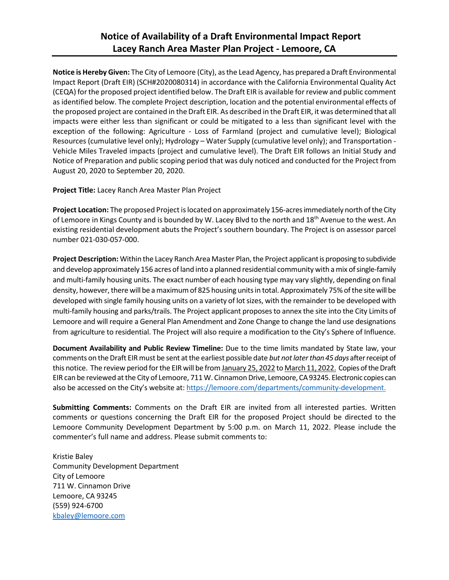## **Notice of Availability of a Draft Environmental Impact Report Lacey Ranch Area Master Plan Project - Lemoore, CA**

**Notice is Hereby Given:** The City of Lemoore (City), as the Lead Agency, has prepared a Draft Environmental Impact Report (Draft EIR) (SCH#2020080314) in accordance with the California Environmental Quality Act (CEQA) for the proposed project identified below. The Draft EIR is available for review and public comment as identified below. The complete Project description, location and the potential environmental effects of the proposed project are contained in the Draft EIR. As described in the Draft EIR, it was determined that all impacts were either less than significant or could be mitigated to a less than significant level with the exception of the following: Agriculture - Loss of Farmland (project and cumulative level); Biological Resources (cumulative level only); Hydrology – Water Supply (cumulative level only); and Transportation - Vehicle Miles Traveled impacts (project and cumulative level). The Draft EIR follows an Initial Study and Notice of Preparation and public scoping period that was duly noticed and conducted for the Project from August 20, 2020 to September 20, 2020.

**Project Title:** Lacey Ranch Area Master Plan Project

**Project Location:** The proposed Project is located on approximately 156-acres immediately north of the City of Lemoore in Kings County and is bounded by W. Lacey Blvd to the north and 18<sup>th</sup> Avenue to the west. An existing residential development abuts the Project's southern boundary. The Project is on assessor parcel number 021-030-057-000.

**Project Description:** Within the Lacey Ranch Area Master Plan, the Project applicant is proposing to subdivide and develop approximately 156 acres of land into a planned residential community with a mix of single-family and multi-family housing units. The exact number of each housing type may vary slightly, depending on final density, however, there will be a maximum of 825 housing units in total. Approximately 75% of the sitewill be developed with single family housing units on a variety of lot sizes, with the remainder to be developed with multi-family housing and parks/trails. The Project applicant proposes to annex the site into the City Limits of Lemoore and will require a General Plan Amendment and Zone Change to change the land use designations from agriculture to residential. The Project will also require a modification to the City's Sphere of Influence.

**Document Availability and Public Review Timeline:** Due to the time limits mandated by State law, your comments on the Draft EIRmust be sent at the earliest possible date *but not later than 45 days* after receipt of this notice. The review period for the EIR will be from January 25, 2022 to March 11, 2022. Copies of the Draft EIR can be reviewed at the City of Lemoore, 711 W. Cinnamon Drive, Lemoore, CA 93245. Electronic copies can also be accessed on the City's website at: [https://lemoore.com/departments/community-development.](https://lemoore.com/departments/community-development)

**Submitting Comments:** Comments on the Draft EIR are invited from all interested parties. Written comments or questions concerning the Draft EIR for the proposed Project should be directed to the Lemoore Community Development Department by 5:00 p.m. on March 11, 2022. Please include the commenter's full name and address. Please submit comments to:

Kristie Baley Community Development Department City of Lemoore 711 W. Cinnamon Drive Lemoore, CA 93245 (559) 924-6700 [kbaley@lemoore.com](mailto:kbaley@lemoore.com)